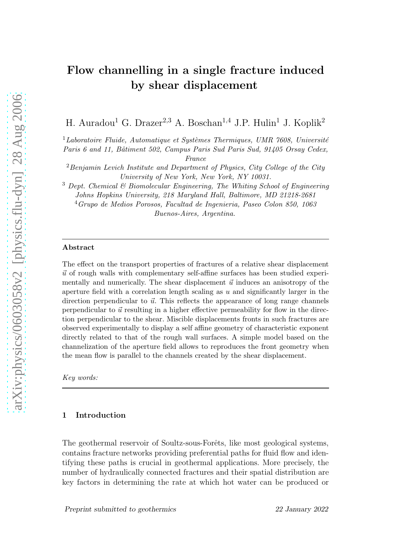# Flow channelling in a single fracture induced by shear displacement

H. Auradou<sup>1</sup> G. Drazer<sup>2,3</sup> A. Boschan<sup>1,4</sup> J.P. Hulin<sup>1</sup> J. Koplik<sup>2</sup>

<sup>1</sup>Laboratoire Fluide, Automatique et Systèmes Thermiques, UMR 7608, Université

*Paris 6 and 11, Bˆatiment 502, Campus Paris Sud Paris Sud, 91405 Orsay Cedex,*

*France*

<sup>2</sup>*Benjamin Levich Institute and Department of Physics, City College of the City University of New York, New York, NY 10031.*

<sup>3</sup> *Dept. Chemical & Biomolecular Engineering, The Whiting School of Engineering Johns Hopkins University, 218 Maryland Hall, Baltimore, MD 21218-2681* <sup>4</sup>*Grupo de Medios Porosos, Facultad de Ingenieria, Paseo Colon 850, 1063 Buenos-Aires, Argentina.*

#### Abstract

The effect on the transport properties of fractures of a relative shear displacement  $\vec{u}$  of rough walls with complementary self-affine surfaces has been studied experimentally and numerically. The shear displacement  $\vec{u}$  induces an anisotropy of the aperture field with a correlation length scaling as  $u$  and significantly larger in the direction perpendicular to  $\vec{u}$ . This reflects the appearance of long range channels perpendicular to  $\vec{u}$  resulting in a higher effective permeability for flow in the direction perpendicular to the shear. Miscible displacements fronts in such fractures are observed experimentally to display a self affine geometry of characteristic exponent directly related to that of the rough wall surfaces. A simple model based on the channelization of the aperture field allows to reproduces the front geometry when the mean flow is parallel to the channels created by the shear displacement.

*Key words:*

### 1 Introduction

The geothermal reservoir of Soultz-sous-Forêts, like most geological systems, contains fracture networks providing preferential paths for fluid flow and identifying these paths is crucial in geothermal applications. More precisely, the number of hydraulically connected fractures and their spatial distribution are key factors in determining the rate at which hot water can be produced or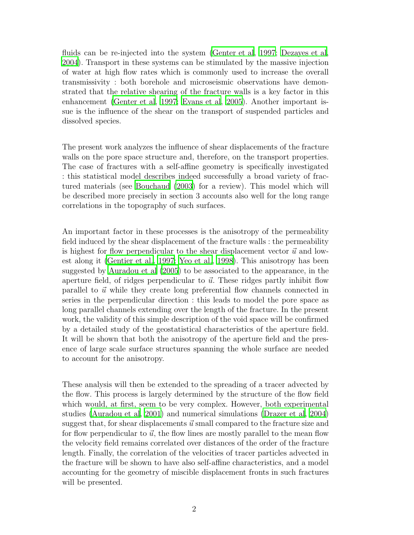fluids can be re-injected into the system [\(Genter et al, 1997;](#page-15-0) [Dezayes et al](#page-15-1), [2004](#page-15-1)). Transport in these systems can be stimulated by the massive injection of water at high flow rates which is commonly used to increase the overall transmissivity : both borehole and microseismic observations have demonstrated that the relative shearing of the fracture walls is a key factor in this enhancement [\(Genter et al, 1997](#page-15-0); [Evans et al, 2005\)](#page-15-2). Another important issue is the influence of the shear on the transport of suspended particles and dissolved species.

The present work analyzes the influence of shear displacements of the fracture walls on the pore space structure and, therefore, on the transport properties. The case of fractures with a self-affine geometry is specifically investigated : this statistical model describes indeed successfully a broad variety of fractured materials (see [Bouchaud \(2003\)](#page-15-3) for a review). This model which will be described more precisely in section 3 accounts also well for the long range correlations in the topography of such surfaces.

An important factor in these processes is the anisotropy of the permeability field induced by the shear displacement of the fracture walls : the permeability is highest for flow perpendicular to the shear displacement vector  $\vec{u}$  and lowest along it [\(Gentier et al., 1997;](#page-16-0) [Yeo et al., 1998\)](#page-16-1). This anisotropy has been suggested by [Auradou et al \(2005\)](#page-15-4) to be associated to the appearance, in the aperture field, of ridges perpendicular to  $\vec{u}$ . These ridges partly inhibit flow parallel to  $\vec{u}$  while they create long preferential flow channels connected in series in the perpendicular direction : this leads to model the pore space as long parallel channels extending over the length of the fracture. In the present work, the validity of this simple description of the void space will be confirmed by a detailed study of the geostatistical characteristics of the aperture field. It will be shown that both the anisotropy of the aperture field and the presence of large scale surface structures spanning the whole surface are needed to account for the anisotropy.

These analysis will then be extended to the spreading of a tracer advected by the flow. This process is largely determined by the structure of the flow field which would, at first, seem to be very complex. However, both experimental studies [\(Auradou et al](#page-15-5), [2001\)](#page-15-5) and numerical simulations [\(Drazer et](#page-15-6) al, [2004\)](#page-15-6) suggest that, for shear displacements  $\vec{u}$  small compared to the fracture size and for flow perpendicular to  $\vec{u}$ , the flow lines are mostly parallel to the mean flow the velocity field remains correlated over distances of the order of the fracture length. Finally, the correlation of the velocities of tracer particles advected in the fracture will be shown to have also self-affine characteristics, and a model accounting for the geometry of miscible displacement fronts in such fractures will be presented.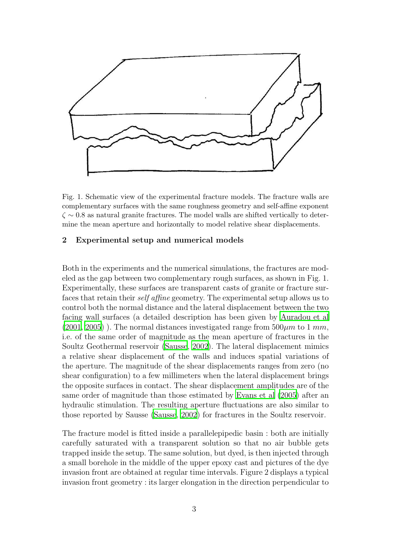

Fig. 1. Schematic view of the experimental fracture models. The fracture walls are complementary surfaces with the same roughness geometry and self-affine exponent  $\zeta \sim 0.8$  as natural granite fractures. The model walls are shifted vertically to determine the mean aperture and horizontally to model relative shear displacements.

### 2 Experimental setup and numerical models

Both in the experiments and the numerical simulations, the fractures are modeled as the gap between two complementary rough surfaces, as shown in Fig. 1. Experimentally, these surfaces are transparent casts of granite or fracture surfaces that retain their self affine geometry. The experimental setup allows us to control both the normal distance and the lateral displacement between the two facing wall surfaces (a detailed description has been given by [Auradou et al](#page-15-5)  $(2001, 2005)$  $(2001, 2005)$ . The normal distances investigated range from  $500 \mu m$  to 1 mm, i.e. of the same order of magnitude as the mean aperture of fractures in the Soultz Geothermal reservoir [\(Sausse](#page-16-2), [2002\)](#page-16-2). The lateral displacement mimics a relative shear displacement of the walls and induces spatial variations of the aperture. The magnitude of the shear displacements ranges from zero (no shear configuration) to a few millimeters when the lateral displacement brings the opposite surfaces in contact. The shear displacement amplitudes are of the same order of magnitude than those estimated by [Evans et al \(2005](#page-15-2)) after an hydraulic stimulation. The resulting aperture fluctuations are also similar to those reported by Sausse [\(Sausse, 2002](#page-16-2)) for fractures in the Soultz reservoir.

The fracture model is fitted inside a parallelepipedic basin : both are initially carefully saturated with a transparent solution so that no air bubble gets trapped inside the setup. The same solution, but dyed, is then injected through a small borehole in the middle of the upper epoxy cast and pictures of the dye invasion front are obtained at regular time intervals. Figure 2 displays a typical invasion front geometry : its larger elongation in the direction perpendicular to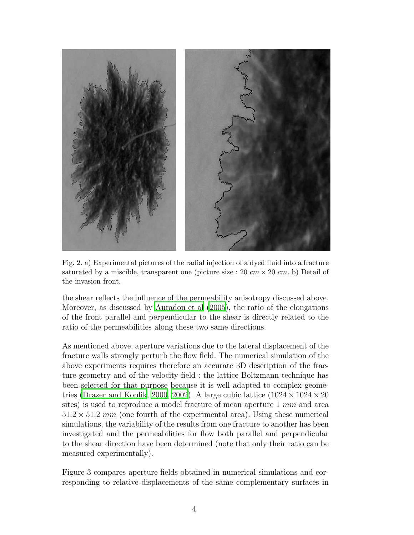

Fig. 2. a) Experimental pictures of the radial injection of a dyed fluid into a fracture saturated by a miscible, transparent one (picture size : 20  $cm \times 20$   $cm$ . b) Detail of the invasion front.

the shear reflects the influence of the permeability anisotropy discussed above. Moreover, as discussed by [Auradou et al \(2005\)](#page-15-4), the ratio of the elongations of the front parallel and perpendicular to the shear is directly related to the ratio of the permeabilities along these two same directions.

As mentioned above, aperture variations due to the lateral displacement of the fracture walls strongly perturb the flow field. The numerical simulation of the above experiments requires therefore an accurate 3D description of the fracture geometry and of the velocity field : the lattice Boltzmann technique has been selected for that purpose because it is well adapted to complex geome-tries [\(Drazer and Koplik](#page-15-7), [2000,](#page-15-7) [2002](#page-15-8)). A large cubic lattice  $(1024 \times 1024 \times 20$ sites) is used to reproduce a model fracture of mean aperture 1 mm and area  $51.2 \times 51.2 \, mm$  (one fourth of the experimental area). Using these numerical simulations, the variability of the results from one fracture to another has been investigated and the permeabilities for flow both parallel and perpendicular to the shear direction have been determined (note that only their ratio can be measured experimentally).

Figure 3 compares aperture fields obtained in numerical simulations and corresponding to relative displacements of the same complementary surfaces in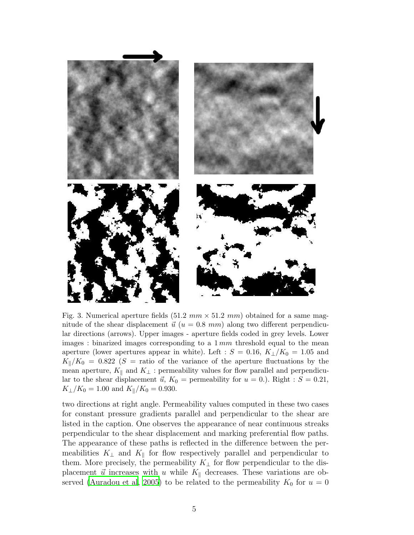

Fig. 3. Numerical aperture fields (51.2  $mm \times 51.2 \, mm$ ) obtained for a same magnitude of the shear displacement  $\vec{u}$  ( $u = 0.8$  mm) along two different perpendicular directions (arrows). Upper images - aperture fields coded in grey levels. Lower images : binarized images corresponding to a  $1 \, mm$  threshold equal to the mean aperture (lower apertures appear in white). Left :  $S = 0.16, K_{\perp}/K_0 = 1.05$  and  $K_{\parallel}/K_0 = 0.822$  (S = ratio of the variance of the aperture fluctuations by the mean aperture,  $K_{\parallel}$  and  $K_{\perp}$ : permeability values for flow parallel and perpendicular to the shear displacement  $\vec{u}$ ,  $K_0$  = permeability for  $u = 0$ .). Right :  $S = 0.21$ ,  $K_{\perp}/K_0 = 1.00$  and  $K_{\parallel}/K_0 = 0.930$ .

two directions at right angle. Permeability values computed in these two cases for constant pressure gradients parallel and perpendicular to the shear are listed in the caption. One observes the appearance of near continuous streaks perpendicular to the shear displacement and marking preferential flow paths. The appearance of these paths is reflected in the difference between the permeabilities  $K_{\perp}$  and  $K_{\parallel}$  for flow respectively parallel and perpendicular to them. More precisely, the permeability  $K_{\perp}$  for flow perpendicular to the displacement  $\vec{u}$  increases with u while  $K_{\parallel}$  decreases. These variations are ob-served [\(Auradou et al](#page-15-4), [2005](#page-15-4)) to be related to the permeability  $K_0$  for  $u = 0$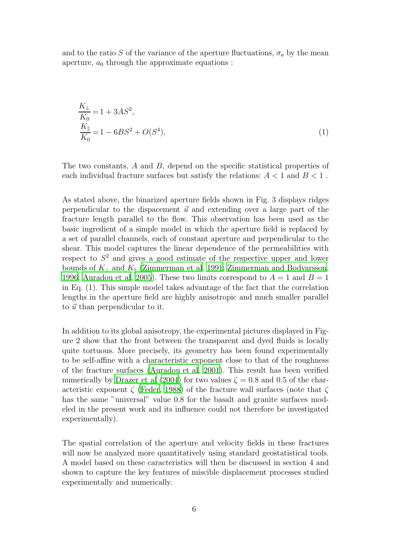and to the ratio S of the variance of the aperture fluctuations,  $\sigma_a$  by the mean aperture,  $a_0$  through the approximate equations :

$$
\frac{K_{\perp}}{K_0} = 1 + 3AS^2,
$$
\n
$$
\frac{K_{\parallel}}{K_0} = 1 - 6BS^2 + O(S^4),
$$
\n(1)

The two constants, A and B, depend on the specific statistical properties of each individual fracture surfaces but satisfy the relations:  $A < 1$  and  $B < 1$ .

As stated above, the binarized aperture fields shown in Fig. 3 displays ridges perpendicular to the dispacement  $\vec{u}$  and extending over a large part of the fracture length parallel to the flow. This observation has been used as the basic ingredient of a simple model in which the aperture field is replaced by a set of parallel channels, each of constant aperture and perpendicular to the shear. This model captures the linear dependence of the permeabilities with respect to  $S<sup>2</sup>$  and gives a good estimate of the respective upper and lower bounds of  $K_{\perp}$  and  $K_{\parallel}$  [\(Zimmerman et al](#page-16-3), [1991;](#page-16-3) [Zimmerman and Bodvarsson](#page-16-4), [1996](#page-16-4); [Auradou et al, 2005](#page-15-4)). These two limits correspond to  $A = 1$  and  $B = 1$ in Eq. (1). This simple model takes advantage of the fact that the correlation lengths in the aperture field are highly anisotropic and much smaller parallel to  $\vec{u}$  than perpendicular to it.

In addition to its global anisotropy, the experimental pictures displayed in Figure 2 show that the front between the transparent and dyed fluids is locally quite tortuous. More precisely, its geometry has been found experimentally to be self-affine with a characteristic exponent close to that of the roughness of the fracture surfaces [\(Auradou et al](#page-15-5), [2001\)](#page-15-5). This result has been verified numerically by [Drazer et al \(2004\)](#page-15-6) for two values  $\zeta = 0.8$  and 0.5 of the characteristic exponent  $\zeta$  [\(Feder](#page-15-9), [1988](#page-15-9)) of the fracture wall surfaces (note that  $\zeta$ has the same "universal" value 0.8 for the basalt and granite surfaces modeled in the present work and its influence could not therefore be investigated experimentally).

The spatial correlation of the aperture and velocity fields in these fractures will now be analyzed more quantitatively using standard geostatistical tools. A model based on these caracteristics will then be discussed in section 4 and shown to capture the key features of miscible displacement processes studied experimentally and numerically.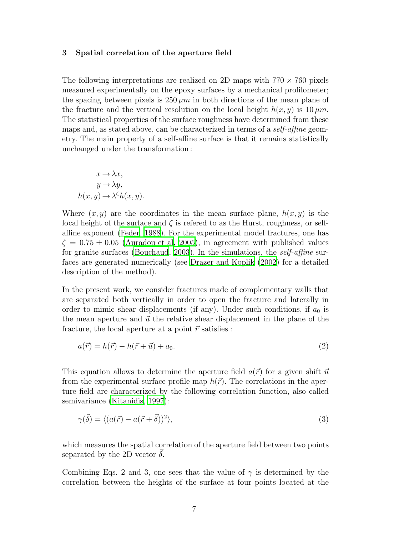### 3 Spatial correlation of the aperture field

The following interpretations are realized on 2D maps with  $770 \times 760$  pixels measured experimentally on the epoxy surfaces by a mechanical profilometer; the spacing between pixels is  $250 \mu m$  in both directions of the mean plane of the fracture and the vertical resolution on the local height  $h(x, y)$  is  $10 \mu m$ . The statistical properties of the surface roughness have determined from these maps and, as stated above, can be characterized in terms of a self-affine geometry. The main property of a self-affine surface is that it remains statistically unchanged under the transformation :

$$
x \to \lambda x,
$$
  
\n
$$
y \to \lambda y,
$$
  
\n
$$
h(x, y) \to \lambda^{\zeta} h(x, y).
$$

Where  $(x, y)$  are the coordinates in the mean surface plane,  $h(x, y)$  is the local height of the surface and  $\zeta$  is referred to as the Hurst, roughness, or selfaffine exponent [\(Feder, 1988](#page-15-9)). For the experimental model fractures, one has  $\zeta = 0.75 \pm 0.05$  [\(Auradou et al, 2005](#page-15-4)), in agreement with published values for granite surfaces [\(Bouchaud, 2003\)](#page-15-3). In the simulations, the self-affine surfaces are generated numerically (see [Drazer and Koplik \(2002\)](#page-15-8) for a detailed description of the method).

In the present work, we consider fractures made of complementary walls that are separated both vertically in order to open the fracture and laterally in order to mimic shear displacements (if any). Under such conditions, if  $a_0$  is the mean aperture and  $\vec{u}$  the relative shear displacement in the plane of the fracture, the local aperture at a point  $\vec{r}$  satisfies :

$$
a(\vec{r}) = h(\vec{r}) - h(\vec{r} + \vec{u}) + a_0.
$$
\n
$$
(2)
$$

This equation allows to determine the aperture field  $a(\vec{r})$  for a given shift  $\vec{u}$ from the experimental surface profile map  $h(\vec{r})$ . The correlations in the aperture field are characterized by the following correlation function, also called semivariance [\(Kitanidis](#page-16-5), [1997\)](#page-16-5):

$$
\gamma(\vec{\delta}) = \langle (a(\vec{r}) - a(\vec{r} + \vec{\delta}))^2 \rangle,
$$
\n(3)

which measures the spatial correlation of the aperture field between two points separated by the 2D vector  $\delta$ .

Combining Eqs. 2 and 3, one sees that the value of  $\gamma$  is determined by the correlation between the heights of the surface at four points located at the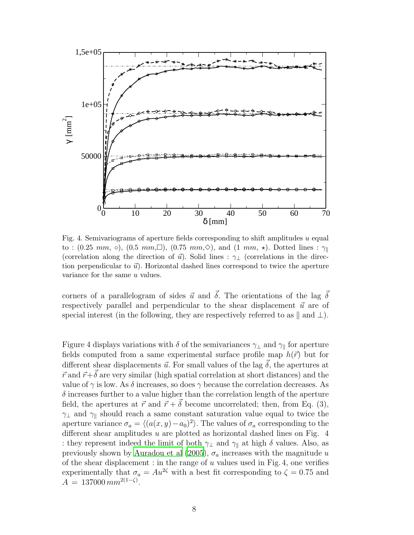

Fig. 4. Semivariograms of aperture fields corresponding to shift amplitudes u equal to : (0.25 mm,  $\circ$ ), (0.5 mm,  $\Box$ ), (0.75 mm,  $\diamond$ ), and (1 mm,  $\star$ ). Dotted lines :  $\gamma_{\parallel}$ (correlation along the direction of  $\vec{u}$ ). Solid lines :  $\gamma_{\perp}$  (correlations in the direction perpendicular to  $\vec{u}$ ). Horizontal dashed lines correspond to twice the aperture variance for the same u values.

corners of a parallelogram of sides  $\vec{u}$  and  $\vec{\delta}$ . The orientations of the lag  $\vec{\delta}$ respectively parallel and perpendicular to the shear displacement  $\vec{u}$  are of special interest (in the following, they are respectively referred to as  $\parallel$  and  $\perp$ ).

Figure 4 displays variations with  $\delta$  of the semivariances  $\gamma_{\perp}$  and  $\gamma_{\parallel}$  for aperture fields computed from a same experimental surface profile map  $h(\vec{r})$  but for different shear displacements  $\vec{u}$ . For small values of the lag  $\vec{\delta}$ , the apertures at  $\vec{r}$  and  $\vec{r}+\vec{\delta}$  are very similar (high spatial correlation at short distances) and the value of  $\gamma$  is low. As  $\delta$  increases, so does  $\gamma$  because the correlation decreases. As  $\delta$  increases further to a value higher than the correlation length of the aperture field, the apertures at  $\vec{r}$  and  $\vec{r} + \vec{\delta}$  become uncorrelated; then, from Eq. (3),  $\gamma_{\perp}$  and  $\gamma_{\parallel}$  should reach a same constant saturation value equal to twice the aperture variance  $\sigma_a = \langle (a(x, y) - a_0)^2 \rangle$ . The values of  $\sigma_a$  corresponding to the different shear amplitudes  $u$  are plotted as horizontal dashed lines on Fig. 4 : they represent indeed the limit of both  $\gamma_{\perp}$  and  $\gamma_{\parallel}$  at high  $\delta$  values. Also, as previously shown by [Auradou et al \(2005](#page-15-4)),  $\sigma_a$  increases with the magnitude u of the shear displacement : in the range of  $u$  values used in Fig. 4, one verifies experimentally that  $\sigma_a = Au^{2\zeta}$  with a best fit corresponding to  $\zeta = 0.75$  and  $A = 137000 \, mm^{2(1-\zeta)}$ .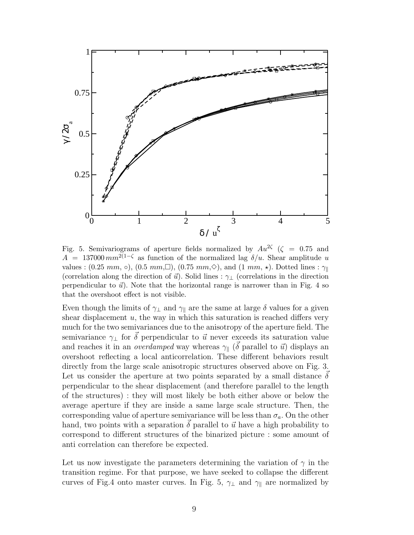

Fig. 5. Semivariograms of aperture fields normalized by  $Au^{2\zeta}$  ( $\zeta = 0.75$  and  $A = 137000 \, mm^{2(1-\zeta)}$  as function of the normalized lag  $\delta/u$ . Shear amplitude u values :  $(0.25 \, mm, \, \circ), (0.5 \, mm, \Box), (0.75 \, mm, \diamond), \text{ and } (1 \, mm, \star).$  Dotted lines :  $\gamma_{\parallel}$ (correlation along the direction of  $\vec{u}$ ). Solid lines :  $\gamma_{\perp}$  (correlations in the direction perpendicular to  $\vec{u}$ ). Note that the horizontal range is narrower than in Fig. 4 so that the overshoot effect is not visible.

Even though the limits of  $\gamma_{\perp}$  and  $\gamma_{\parallel}$  are the same at large  $\delta$  values for a given shear displacement  $u$ , the way in which this saturation is reached differs very much for the two semivariances due to the anisotropy of the aperture field. The semivariance  $\gamma_{\perp}$  for  $\vec{\delta}$  perpendicular to  $\vec{u}$  never exceeds its saturation value and reaches it in an *overdamped* way whereas  $\gamma_{\parallel}$  ( $\vec{\delta}$  parallel to  $\vec{u}$ ) displays an overshoot reflecting a local anticorrelation. These different behaviors result directly from the large scale anisotropic structures observed above on Fig. 3. Let us consider the aperture at two points separated by a small distance  $\vec{\delta}$ perpendicular to the shear displacement (and therefore parallel to the length of the structures) : they will most likely be both either above or below the average aperture if they are inside a same large scale structure. Then, the corresponding value of aperture semivariance will be less than  $\sigma_a$ . On the other hand, two points with a separation  $\delta$  parallel to  $\vec{u}$  have a high probability to correspond to different structures of the binarized picture : some amount of anti correlation can therefore be expected.

Let us now investigate the parameters determining the variation of  $\gamma$  in the transition regime. For that purpose, we have seeked to collapse the different curves of Fig.4 onto master curves. In Fig. 5,  $\gamma_{\perp}$  and  $\gamma_{\parallel}$  are normalized by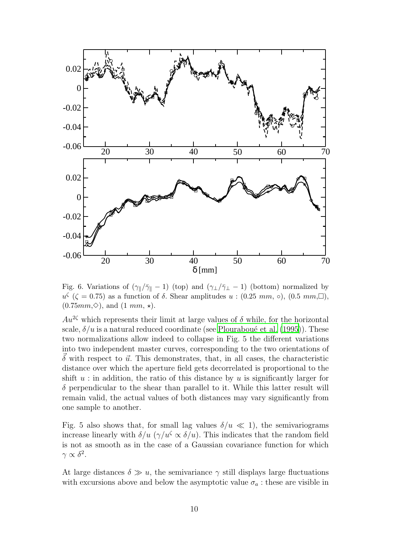

Fig. 6. Variations of  $(\gamma_{\parallel}/\bar{\gamma}_{\parallel} - 1)$  (top) and  $(\gamma_{\perp}/\bar{\gamma}_{\perp} - 1)$  (bottom) normalized by  $u^{\zeta}$  ( $\zeta = 0.75$ ) as a function of  $\delta$ . Shear amplitudes  $u : (0.25 \, mm, \, \circ), (0.5 \, mm, \Box),$  $(0.75mm,\diamond)$ , and  $(1mm, \star)$ .

 $Au^{2\zeta}$  which represents their limit at large values of  $\delta$  while, for the horizontal scale,  $\delta/u$  is a natural reduced coordinate (see Plouraboué et al. (1995)). These two normalizations allow indeed to collapse in Fig. 5 the different variations into two independent master curves, corresponding to the two orientations of  $\delta$  with respect to  $\vec{u}$ . This demonstrates, that, in all cases, the characteristic distance over which the aperture field gets decorrelated is proportional to the shift  $u$ : in addition, the ratio of this distance by  $u$  is significantly larger for  $\delta$  perpendicular to the shear than parallel to it. While this latter result will remain valid, the actual values of both distances may vary significantly from one sample to another.

Fig. 5 also shows that, for small lag values  $\delta/u \ll 1$ , the semivariograms increase linearly with  $\delta/u$  ( $\gamma/u^{\zeta} \propto \delta/u$ ). This indicates that the random field is not as smooth as in the case of a Gaussian covariance function for which  $\gamma \propto \delta^2$ .

At large distances  $\delta \gg u$ , the semivariance  $\gamma$  still displays large fluctuations with excursions above and below the asymptotic value  $\sigma_a$ : these are visible in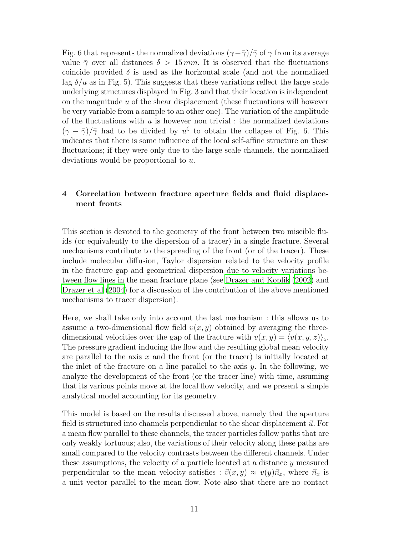Fig. 6 that represents the normalized deviations  $(\gamma-\overline{\gamma})/\overline{\gamma}$  of  $\gamma$  from its average value  $\bar{\gamma}$  over all distances  $\delta > 15$  mm. It is observed that the fluctuations coincide provided  $\delta$  is used as the horizontal scale (and not the normalized lag  $\delta/u$  as in Fig. 5). This suggests that these variations reflect the large scale underlying structures displayed in Fig. 3 and that their location is independent on the magnitude  $u$  of the shear displacement (these fluctuations will however be very variable from a sample to an other one). The variation of the amplitude of the fluctuations with  $u$  is however non trivial : the normalized deviations  $(\gamma - \bar{\gamma})/\bar{\gamma}$  had to be divided by  $u^{\zeta}$  to obtain the collapse of Fig. 6. This indicates that there is some influence of the local self-affine structure on these fluctuations; if they were only due to the large scale channels, the normalized deviations would be proportional to u.

## 4 Correlation between fracture aperture fields and fluid displacement fronts

This section is devoted to the geometry of the front between two miscible fluids (or equivalently to the dispersion of a tracer) in a single fracture. Several mechanisms contribute to the spreading of the front (or of the tracer). These include molecular diffusion, Taylor dispersion related to the velocity profile in the fracture gap and geometrical dispersion due to velocity variations between flow lines in the mean fracture plane (see [Drazer and Koplik \(2002\)](#page-15-8) and [Drazer et al \(2004\)](#page-15-6) for a discussion of the contribution of the above mentioned mechanisms to tracer dispersion).

Here, we shall take only into account the last mechanism : this allows us to assume a two-dimensional flow field  $v(x, y)$  obtained by averaging the threedimensional velocities over the gap of the fracture with  $v(x, y) = \langle v(x, y, z) \rangle_z$ . The pressure gradient inducing the flow and the resulting global mean velocity are parallel to the axis  $x$  and the front (or the tracer) is initially located at the inlet of the fracture on a line parallel to the axis  $y$ . In the following, we analyze the development of the front (or the tracer line) with time, assuming that its various points move at the local flow velocity, and we present a simple analytical model accounting for its geometry.

This model is based on the results discussed above, namely that the aperture field is structured into channels perpendicular to the shear displacement  $\vec{u}$ . For a mean flow parallel to these channels, the tracer particles follow paths that are only weakly tortuous; also, the variations of their velocity along these paths are small compared to the velocity contrasts between the different channels. Under these assumptions, the velocity of a particle located at a distance y measured perpendicular to the mean velocity satisfies :  $\vec{v}(x, y) \approx v(y)\vec{n}_x$ , where  $\vec{n}_x$  is a unit vector parallel to the mean flow. Note also that there are no contact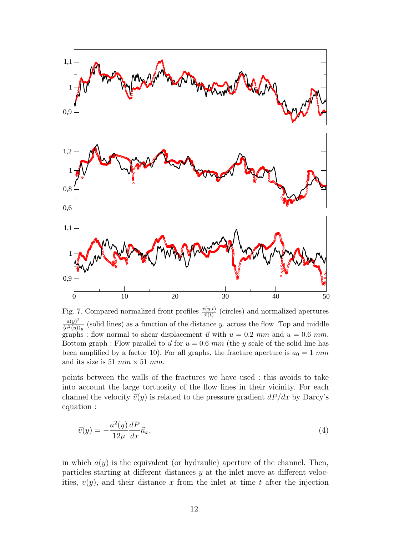

Fig. 7. Compared normalized front profiles  $\frac{x(y,t)}{\bar{x}(t)}$  (circles) and normalized apertures  $a(y)^2$  $\frac{u(y)}{\langle a^2(y)\rangle_y}$  (solid lines) as a function of the distance y. across the flow. Top and middle graphs : flow normal to shear displacement  $\vec{u}$  with  $u = 0.2$  mm and  $u = 0.6$  mm. Bottom graph : Flow parallel to  $\vec{u}$  for  $u = 0.6$  mm (the y scale of the solid line has been amplified by a factor 10). For all graphs, the fracture aperture is  $a_0 = 1$  mm and its size is 51  $mm \times 51$  mm.

points between the walls of the fractures we have used : this avoids to take into account the large tortuosity of the flow lines in their vicinity. For each channel the velocity  $\vec{v}(y)$  is related to the pressure gradient  $dP/dx$  by Darcy's equation :

$$
\vec{v}(y) = -\frac{a^2(y)}{12\mu} \frac{dP}{dx} \vec{n}_x,\tag{4}
$$

in which  $a(y)$  is the equivalent (or hydraulic) aperture of the channel. Then, particles starting at different distances y at the inlet move at different velocities,  $v(y)$ , and their distance x from the inlet at time t after the injection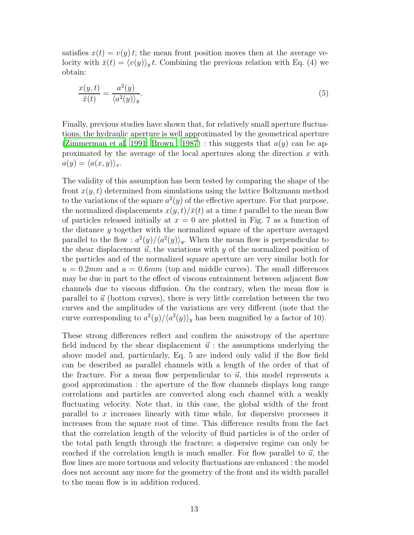satisfies  $x(t) = v(y) t$ ; the mean front position moves then at the average velocity with  $\bar{x}(t) = \langle v(y) \rangle_y t$ . Combining the previous relation with Eq. (4) we obtain:

$$
\frac{x(y,t)}{\bar{x}(t)} = \frac{a^2(y)}{\langle a^2(y) \rangle_y}.\tag{5}
$$

Finally, previous studies have shown that, for relatively small aperture fluctuations, the hydraulic aperture is well approximated by the geometrical aperture [\(Zimmerman et al, 1991](#page-16-3); [Brown](#page-15-10), [1987\)](#page-15-10) : this suggests that  $a(y)$  can be approximated by the average of the local apertures along the direction  $x$  with  $a(y) = \langle a(x, y) \rangle_x.$ 

The validity of this assumption has been tested by comparing the shape of the front  $x(y, t)$  determined from simulations using the lattice Boltzmann method to the variations of the square  $a^2(y)$  of the effective aperture. For that purpose, the normalized displacements  $x(y, t)/\bar{x}(t)$  at a time t parallel to the mean flow of particles released initially at  $x = 0$  are plotted in Fig. 7 as a function of the distance y together with the normalized square of the aperture averaged parallel to the flow :  $a^2(y)/\langle a^2(y)\rangle_y$ . When the mean flow is perpendicular to the shear displacement  $\vec{u}$ , the variations with y of the normalized position of the particles and of the normalized square aperture are very similar both for  $u = 0.2mm$  and  $u = 0.6mm$  (top and middle curves). The small differences may be due in part to the effect of viscous entrainment between adjacent flow channels due to viscous diffusion. On the contrary, when the mean flow is parallel to  $\vec{u}$  (bottom curves), there is very little correlation between the two curves and the amplitudes of the variations are very different (note that the curve corresponding to  $a^2(y)/\langle a^2(y)\rangle_y$  has been magnified by a factor of 10).

These strong differences reflect and confirm the anisotropy of the aperture field induced by the shear displacement  $\vec{u}$  : the assumptions underlying the above model and, particularly, Eq. 5 are indeed only valid if the flow field can be described as parallel channels with a length of the order of that of the fracture. For a mean flow perpendicular to  $\vec{u}$ , this model represents a good approximation : the aperture of the flow channels displays long range correlations and particles are convected along each channel with a weakly fluctuating velocity. Note that, in this case, the global width of the front parallel to  $x$  increases linearly with time while, for dispersive processes it increases from the square root of time. This difference results from the fact that the correlation length of the velocity of fluid particles is of the order of the total path length through the fracture; a dispersive regime can only be reached if the correlation length is much smaller. For flow parallel to  $\vec{u}$ , the flow lines are more tortuous and velocity fluctuations are enhanced : the model does not account any more for the geometry of the front and its width parallel to the mean flow is in addition reduced.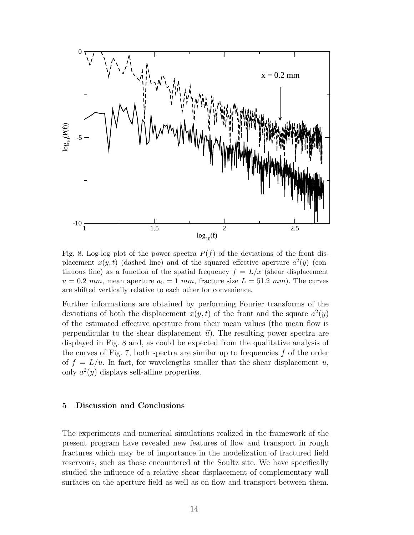

Fig. 8. Log-log plot of the power spectra  $P(f)$  of the deviations of the front displacement  $x(y, t)$  (dashed line) and of the squared effective aperture  $a^2(y)$  (continuous line) as a function of the spatial frequency  $f = L/x$  (shear displacement  $u = 0.2$  mm, mean aperture  $a_0 = 1$  mm, fracture size  $L = 51.2$  mm). The curves are shifted vertically relative to each other for convenience.

Further informations are obtained by performing Fourier transforms of the deviations of both the displacement  $x(y, t)$  of the front and the square  $a^2(y)$ of the estimated effective aperture from their mean values (the mean flow is perpendicular to the shear displacement  $\vec{u}$ ). The resulting power spectra are displayed in Fig. 8 and, as could be expected from the qualitative analysis of the curves of Fig. 7, both spectra are similar up to frequencies  $f$  of the order of  $f = L/u$ . In fact, for wavelengths smaller that the shear displacement u, only  $a^2(y)$  displays self-affine properties.

#### 5 Discussion and Conclusions

The experiments and numerical simulations realized in the framework of the present program have revealed new features of flow and transport in rough fractures which may be of importance in the modelization of fractured field reservoirs, such as those encountered at the Soultz site. We have specifically studied the influence of a relative shear displacement of complementary wall surfaces on the aperture field as well as on flow and transport between them.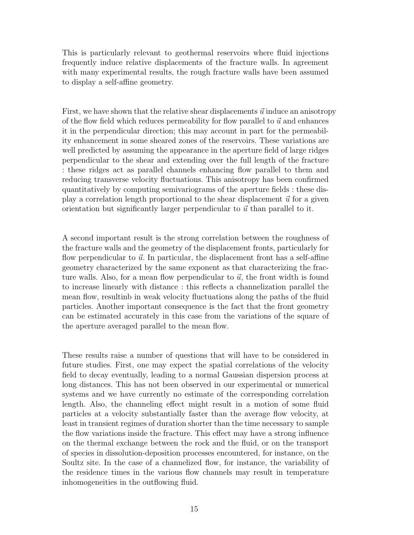This is particularly relevant to geothermal reservoirs where fluid injections frequently induce relative displacements of the fracture walls. In agreement with many experimental results, the rough fracture walls have been assumed to display a self-affine geometry.

First, we have shown that the relative shear displacements  $\vec{u}$  induce an anisotropy of the flow field which reduces permeability for flow parallel to  $\vec{u}$  and enhances it in the perpendicular direction; this may account in part for the permeability enhancement in some sheared zones of the reservoirs. These variations are well predicted by assuming the appearance in the aperture field of large ridges perpendicular to the shear and extending over the full length of the fracture : these ridges act as parallel channels enhancing flow parallel to them and reducing transverse velocity fluctuations. This anisotropy has been confirmed quantitatively by computing semivariograms of the aperture fields : these display a correlation length proportional to the shear displacement  $\vec{u}$  for a given orientation but significantly larger perpendicular to  $\vec{u}$  than parallel to it.

A second important result is the strong correlation between the roughness of the fracture walls and the geometry of the displacement fronts, particularly for flow perpendicular to  $\vec{u}$ . In particular, the displacement front has a self-affine geometry characterized by the same exponent as that characterizing the fracture walls. Also, for a mean flow perpendicular to  $\vec{u}$ , the front width is found to increase linearly with distance : this reflects a channelization parallel the mean flow, resultinb in weak velocity fluctuations along the paths of the fluid particles. Another important consequence is the fact that the front geometry can be estimated accurately in this case from the variations of the square of the aperture averaged parallel to the mean flow.

These results raise a number of questions that will have to be considered in future studies. First, one may expect the spatial correlations of the velocity field to decay eventually, leading to a normal Gaussian dispersion process at long distances. This has not been observed in our experimental or numerical systems and we have currently no estimate of the corresponding correlation length. Also, the channeling effect might result in a motion of some fluid particles at a velocity substantially faster than the average flow velocity, at least in transient regimes of duration shorter than the time necessary to sample the flow variations inside the fracture. This effect may have a strong influence on the thermal exchange between the rock and the fluid, or on the transport of species in dissolution-deposition processes encountered, for instance, on the Soultz site. In the case of a channelized flow, for instance, the variability of the residence times in the various flow channels may result in temperature inhomogeneities in the outflowing fluid.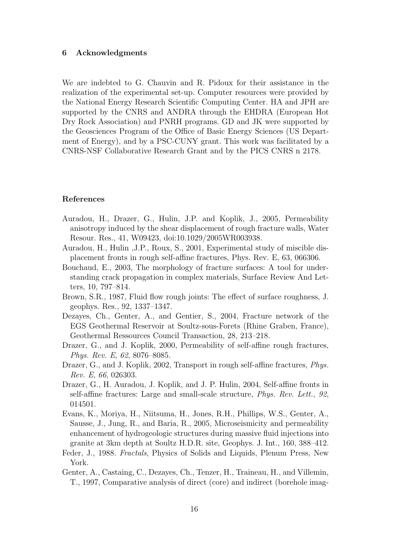#### 6 Acknowledgments

We are indebted to G. Chauvin and R. Pidoux for their assistance in the realization of the experimental set-up. Computer resources were provided by the National Energy Research Scientific Computing Center. HA and JPH are supported by the CNRS and ANDRA through the EHDRA (European Hot Dry Rock Association) and PNRH programs. GD and JK were supported by the Geosciences Program of the Office of Basic Energy Sciences (US Department of Energy), and by a PSC-CUNY grant. This work was facilitated by a CNRS-NSF Collaborative Research Grant and by the PICS CNRS n 2178.

#### References

- <span id="page-15-4"></span>Auradou, H., Drazer, G., Hulin, J.P. and Koplik, J., 2005, Permeability anisotropy induced by the shear displacement of rough fracture walls, Water Resour. Res., 41, W09423, doi:10.1029/2005WR003938.
- <span id="page-15-5"></span>Auradou, H., Hulin ,J.P., Roux, S., 2001, Experimental study of miscible displacement fronts in rough self-affine fractures, Phys. Rev. E, 63, 066306.
- <span id="page-15-3"></span>Bouchaud, E., 2003, The morphology of fracture surfaces: A tool for understanding crack propagation in complex materials, Surface Review And Letters, 10, 797–814.
- <span id="page-15-10"></span>Brown, S.R., 1987, Fluid flow rough joints: The effect of surface roughness, J. geophys. Res., 92, 1337–1347.
- <span id="page-15-1"></span>Dezayes, Ch., Genter, A., and Gentier, S., 2004, Fracture network of the EGS Geothermal Reservoir at Soultz-sous-Forets (Rhine Graben, France), Geothermal Ressources Council Transaction, 28, 213–218.
- <span id="page-15-7"></span>Drazer, G., and J. Koplik, 2000, Permeability of self-affine rough fractures, Phys. Rev. E, 62, 8076–8085.
- <span id="page-15-8"></span>Drazer, G., and J. Koplik, 2002, Transport in rough self-affine fractures, *Phys.* Rev. E, 66, 026303.
- <span id="page-15-6"></span>Drazer, G., H. Auradou, J. Koplik, and J. P. Hulin, 2004, Self-affine fronts in self-affine fractures: Large and small-scale structure, Phys. Rev. Lett., 92, 014501.
- <span id="page-15-2"></span>Evans, K., Moriya, H., Niitsuma, H., Jones, R.H., Phillips, W.S., Genter, A., Sausse, J., Jung, R., and Baria, R., 2005, Microseismicity and permeability enhancement of hydrogeologic structures during massive fluid injections into granite at 3km depth at Soultz H.D.R. site, Geophys. J. Int., 160, 388–412.
- <span id="page-15-9"></span>Feder, J., 1988. Fractals, Physics of Solids and Liquids, Plenum Press, New York.
- <span id="page-15-0"></span>Genter, A., Castaing, C., Dezayes, Ch., Tenzer, H., Traineau, H., and Villemin, T., 1997, Comparative analysis of direct (core) and indirect (borehole imag-